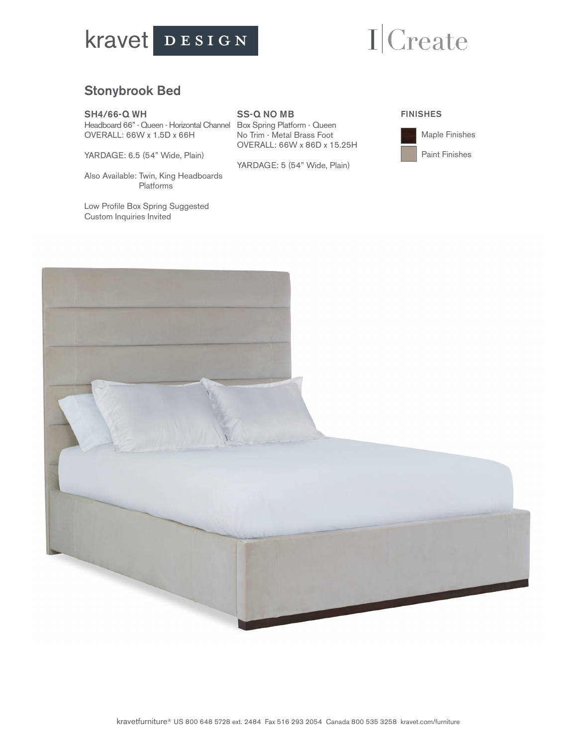

# ICreate

### Stonybrook Bed

#### SH4/66-Q WH

Headboard 66" - Queen - Horizontal Channel Box Spring Platform - Queen OVERALL: 66W x 1.5D x 66H

YARDAGE: 6.5 (54" Wide, Plain)

Also Available: Twin, King Headboards Platforms

Low Profile Box Spring Suggested Custom Inquiries Invited

#### SS-Q NO MB

No Trim - Metal Brass Foot OVERALL: 66W x 86D x 15.25H

YARDAGE: 5 (54" Wide, Plain)

### FINISHES